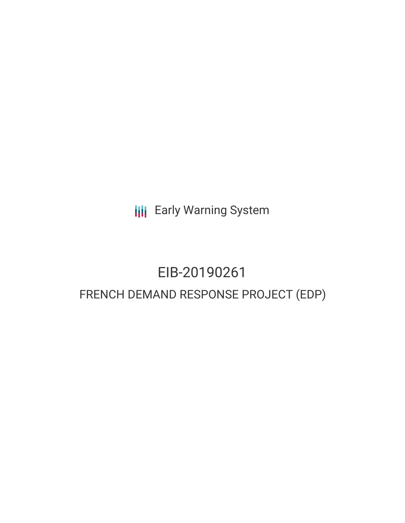**III** Early Warning System

# EIB-20190261 FRENCH DEMAND RESPONSE PROJECT (EDP)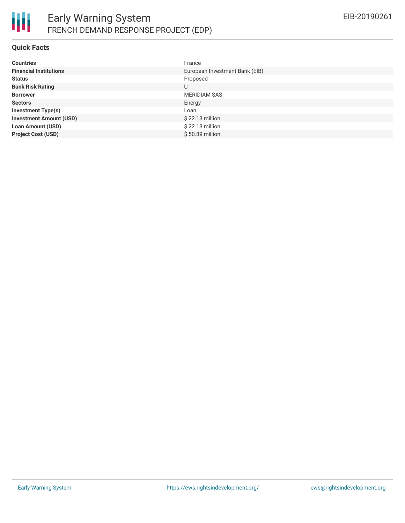

#### **Quick Facts**

| <b>Countries</b>               | France                         |
|--------------------------------|--------------------------------|
| <b>Financial Institutions</b>  | European Investment Bank (EIB) |
| <b>Status</b>                  | Proposed                       |
| <b>Bank Risk Rating</b>        | U                              |
| <b>Borrower</b>                | <b>MERIDIAM SAS</b>            |
| <b>Sectors</b>                 | Energy                         |
| <b>Investment Type(s)</b>      | Loan                           |
| <b>Investment Amount (USD)</b> | $$22.13$ million               |
| <b>Loan Amount (USD)</b>       | $$22.13$ million               |
| <b>Project Cost (USD)</b>      | $$50.89$ million               |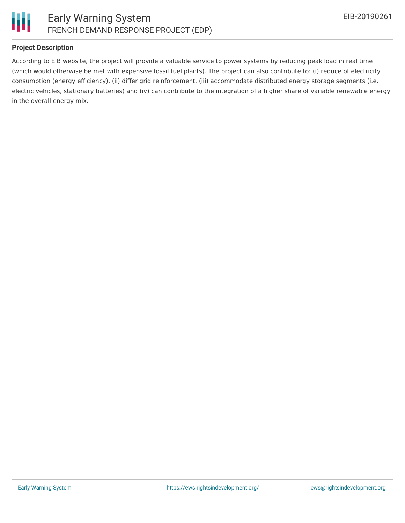

# **Project Description**

According to EIB website, the project will provide a valuable service to power systems by reducing peak load in real time (which would otherwise be met with expensive fossil fuel plants). The project can also contribute to: (i) reduce of electricity consumption (energy efficiency), (ii) differ grid reinforcement, (iii) accommodate distributed energy storage segments (i.e. electric vehicles, stationary batteries) and (iv) can contribute to the integration of a higher share of variable renewable energy in the overall energy mix.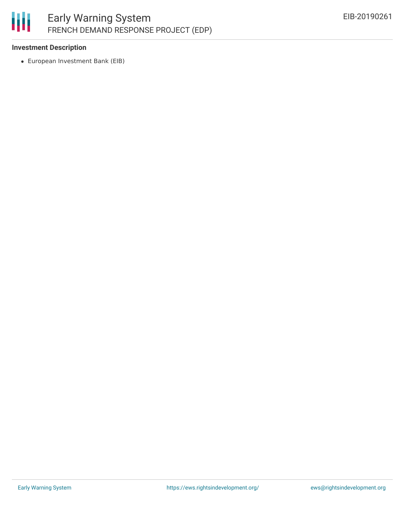# 冊 Early Warning System FRENCH DEMAND RESPONSE PROJECT (EDP)

#### **Investment Description**

European Investment Bank (EIB)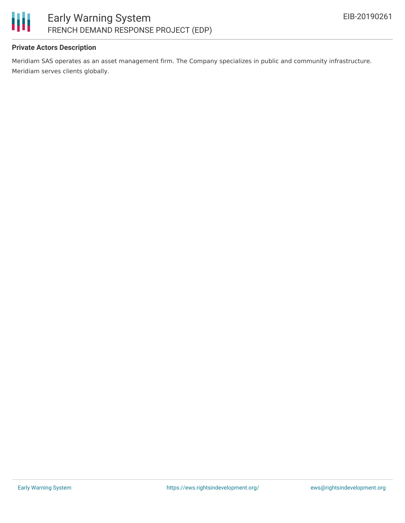

# **Private Actors Description**

Meridiam SAS operates as an asset management firm. The Company specializes in public and community infrastructure. Meridiam serves clients globally.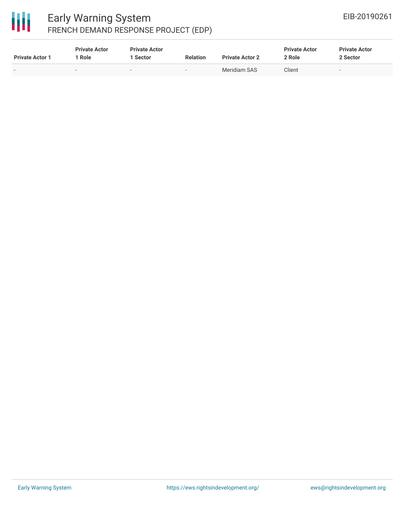

# Early Warning System FRENCH DEMAND RESPONSE PROJECT (EDP)

| <b>Private Actor 1</b>   | <b>Private Actor</b><br><b>Role</b> | <b>Private Actor</b><br>1 Sector | <b>Relation</b>          | <b>Private Actor 2</b> | <b>Private Actor</b><br>2 Role | <b>Private Actor</b><br>2 Sector |  |
|--------------------------|-------------------------------------|----------------------------------|--------------------------|------------------------|--------------------------------|----------------------------------|--|
| $\overline{\phantom{a}}$ | $\overline{\phantom{a}}$            |                                  | $\overline{\phantom{0}}$ | Meridiam SAS           | Client                         | $\overline{\phantom{a}}$         |  |